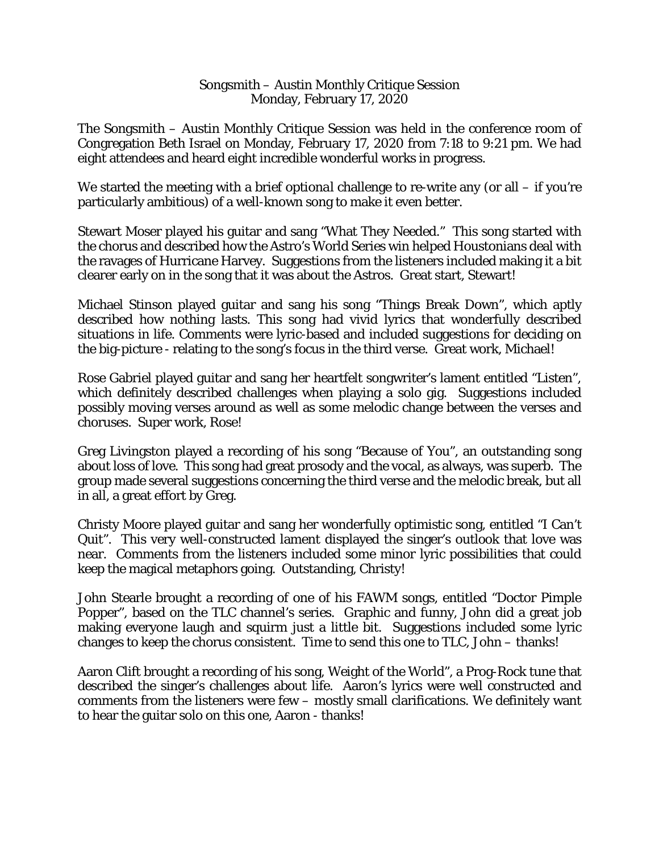## Songsmith – Austin Monthly Critique Session Monday, February 17, 2020

The Songsmith – Austin Monthly Critique Session was held in the conference room of Congregation Beth Israel on Monday, February 17, 2020 from 7:18 to 9:21 pm. We had eight attendees and heard eight incredible wonderful works in progress.

We started the meeting with a brief *optional* challenge to re-write any (or all – if you're particularly ambitious) of a well-known song to make it even better.

Stewart Moser played his guitar and sang "What They Needed." This song started with the chorus and described how the Astro's World Series win helped Houstonians deal with the ravages of Hurricane Harvey. Suggestions from the listeners included making it a bit clearer early on in the song that it was about the Astros. Great start, Stewart!

Michael Stinson played guitar and sang his song "Things Break Down", which aptly described how nothing lasts. This song had vivid lyrics that wonderfully described situations in life. Comments were lyric-based and included suggestions for deciding on the big-picture - relating to the song's focus in the third verse. Great work, Michael!

Rose Gabriel played guitar and sang her heartfelt songwriter's lament entitled "Listen", which definitely described challenges when playing a solo gig. Suggestions included possibly moving verses around as well as some melodic change between the verses and choruses. Super work, Rose!

Greg Livingston played a recording of his song "Because of You", an outstanding song about loss of love. This song had great prosody and the vocal, as always, was superb. The group made several suggestions concerning the third verse and the melodic break, but all in all, a great effort by Greg.

Christy Moore played guitar and sang her wonderfully optimistic song, entitled "I Can't Quit". This very well-constructed lament displayed the singer's outlook that love was near. Comments from the listeners included some minor lyric possibilities that could keep the magical metaphors going. Outstanding, Christy!

John Stearle brought a recording of one of his FAWM songs, entitled "Doctor Pimple Popper", based on the TLC channel's series. Graphic and funny, John did a great job making everyone laugh and squirm just a little bit. Suggestions included some lyric changes to keep the chorus consistent. Time to send this one to TLC, John – thanks!

Aaron Clift brought a recording of his song, Weight of the World", a Prog-Rock tune that described the singer's challenges about life. Aaron's lyrics were well constructed and comments from the listeners were few – mostly small clarifications. We definitely want to hear the guitar solo on this one, Aaron - thanks!